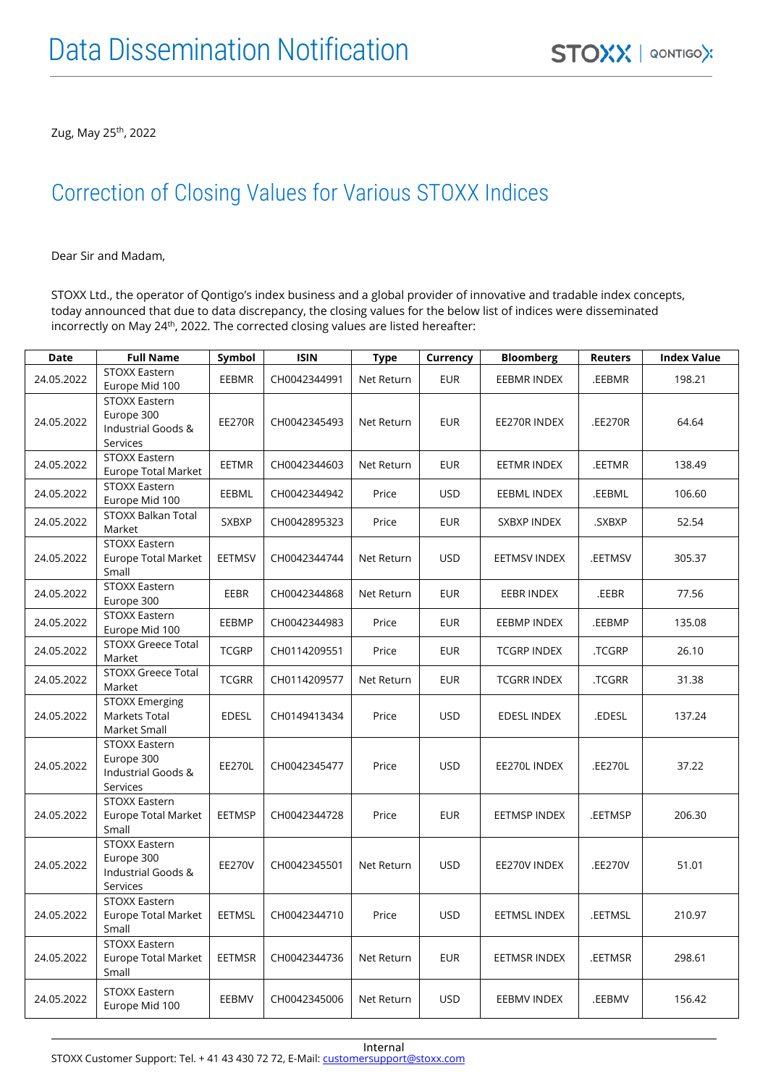Zug, May 25<sup>th</sup>, 2022

## Correction of Closing Values for Various STOXX Indices

Dear Sir and Madam,

STOXX Ltd., the operator of Qontigo's index business and a global provider of innovative and tradable index concepts, today announced that due to data discrepancy, the closing values for the below list of indices were disseminated incorrectly on May 24<sup>th</sup>, 2022. The corrected closing values are listed hereafter:

| Date       | <b>Full Name</b>                                                     | Symbol        | <b>ISIN</b>  | <b>Type</b> | Currency   | <b>Bloomberg</b>    | <b>Reuters</b> | <b>Index Value</b> |
|------------|----------------------------------------------------------------------|---------------|--------------|-------------|------------|---------------------|----------------|--------------------|
| 24.05.2022 | STOXX Eastern<br>Europe Mid 100                                      | <b>EEBMR</b>  | CH0042344991 | Net Return  | <b>EUR</b> | <b>EEBMR INDEX</b>  | .EEBMR         | 198.21             |
| 24.05.2022 | STOXX Eastern<br>Europe 300<br>Industrial Goods &<br>Services        | <b>EE270R</b> | CH0042345493 | Net Return  | <b>EUR</b> | EE270R INDEX        | .EE270R        | 64.64              |
| 24.05.2022 | STOXX Eastern<br>Europe Total Market                                 | EETMR         | CH0042344603 | Net Return  | <b>EUR</b> | <b>EETMR INDEX</b>  | .EETMR         | 138.49             |
| 24.05.2022 | STOXX Eastern<br>Europe Mid 100                                      | <b>EEBML</b>  | CH0042344942 | Price       | <b>USD</b> | EEBML INDEX         | .EEBML         | 106.60             |
| 24.05.2022 | STOXX Balkan Total<br>Market                                         | <b>SXBXP</b>  | CH0042895323 | Price       | <b>EUR</b> | SXBXP INDEX         | .SXBXP         | 52.54              |
| 24.05.2022 | <b>STOXX Eastern</b><br>Europe Total Market<br>Small                 | <b>EETMSV</b> | CH0042344744 | Net Return  | <b>USD</b> | <b>EETMSV INDEX</b> | .EETMSV        | 305.37             |
| 24.05.2022 | STOXX Eastern<br>Europe 300                                          | EEBR          | CH0042344868 | Net Return  | <b>EUR</b> | EEBR INDEX          | .EEBR          | 77.56              |
| 24.05.2022 | STOXX Eastern<br>Europe Mid 100                                      | EEBMP         | CH0042344983 | Price       | <b>EUR</b> | <b>EEBMP INDEX</b>  | .EEBMP         | 135.08             |
| 24.05.2022 | STOXX Greece Total<br>Market                                         | <b>TCGRP</b>  | CH0114209551 | Price       | <b>EUR</b> | <b>TCGRP INDEX</b>  | .TCGRP         | 26.10              |
| 24.05.2022 | <b>STOXX Greece Total</b><br>Market                                  | <b>TCGRR</b>  | CH0114209577 | Net Return  | <b>EUR</b> | <b>TCGRR INDEX</b>  | .TCGRR         | 31.38              |
| 24.05.2022 | <b>STOXX Emerging</b><br><b>Markets Total</b><br>Market Small        | <b>EDESL</b>  | CH0149413434 | Price       | <b>USD</b> | <b>EDESL INDEX</b>  | .EDESL         | 137.24             |
| 24.05.2022 | <b>STOXX Eastern</b><br>Europe 300<br>Industrial Goods &<br>Services | <b>EE270L</b> | CH0042345477 | Price       | <b>USD</b> | EE270L INDEX        | .EE270L        | 37.22              |
| 24.05.2022 | <b>STOXX Eastern</b><br><b>Europe Total Market</b><br>Small          | <b>EETMSP</b> | CH0042344728 | Price       | <b>EUR</b> | <b>EETMSP INDEX</b> | .EETMSP        | 206.30             |
| 24.05.2022 | STOXX Eastern<br>Europe 300<br>Industrial Goods &<br>Services        | <b>EE270V</b> | CH0042345501 | Net Return  | <b>USD</b> | EE270V INDEX        | .EE270V        | 51.01              |
| 24.05.2022 | <b>STOXX Eastern</b><br>Europe Total Market<br>Small                 | <b>EETMSL</b> | CH0042344710 | Price       | <b>USD</b> | EETMSL INDEX        | .EETMSL        | 210.97             |
| 24.05.2022 | STOXX Eastern<br><b>Europe Total Market</b><br>Small                 | EETMSR        | CH0042344736 | Net Return  | <b>EUR</b> | <b>EETMSR INDEX</b> | .EETMSR        | 298.61             |
| 24.05.2022 | STOXX Eastern<br>Europe Mid 100                                      | EEBMV         | CH0042345006 | Net Return  | <b>USD</b> | <b>EEBMV INDEX</b>  | .EEBMV         | 156.42             |